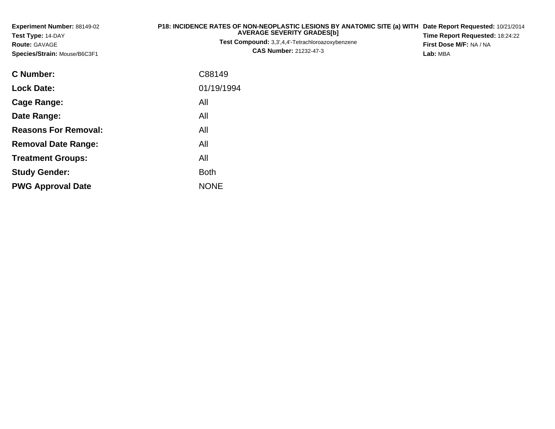| <b>Experiment Number: 88149-02</b><br>Test Type: 14-DAY<br><b>Route: GAVAGE</b><br>Species/Strain: Mouse/B6C3F1 | P18: INCIDENCE RATES OF NON-NEOPLASTIC LESIONS BY ANATOMIC SITE (a) WITH<br><b>AVERAGE SEVERITY GRADES[b]</b><br><b>Test Compound:</b> 3,3',4,4'-Tetrachloroazoxybenzene<br><b>CAS Number: 21232-47-3</b> | Date Report Requested: 10/21/2014<br>Time Report Requested: 18:24:22<br>First Dose M/F: NA / NA<br>Lab: MBA |  |  |
|-----------------------------------------------------------------------------------------------------------------|-----------------------------------------------------------------------------------------------------------------------------------------------------------------------------------------------------------|-------------------------------------------------------------------------------------------------------------|--|--|
| <b>C</b> Number:                                                                                                | C88149                                                                                                                                                                                                    |                                                                                                             |  |  |
| <b>Lock Date:</b>                                                                                               | 01/19/1994                                                                                                                                                                                                |                                                                                                             |  |  |
| <b>Cage Range:</b>                                                                                              | All                                                                                                                                                                                                       |                                                                                                             |  |  |
| Date Range:                                                                                                     | All                                                                                                                                                                                                       |                                                                                                             |  |  |
| <b>Reasons For Removal:</b>                                                                                     | All                                                                                                                                                                                                       |                                                                                                             |  |  |
| <b>Removal Date Range:</b>                                                                                      | All                                                                                                                                                                                                       |                                                                                                             |  |  |
| <b>Treatment Groups:</b>                                                                                        | All                                                                                                                                                                                                       |                                                                                                             |  |  |
| <b>Study Gender:</b>                                                                                            | <b>Both</b>                                                                                                                                                                                               |                                                                                                             |  |  |
| <b>PWG Approval Date</b>                                                                                        | <b>NONE</b>                                                                                                                                                                                               |                                                                                                             |  |  |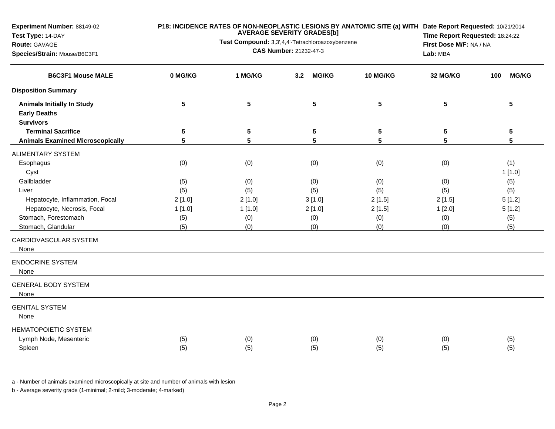**Experiment Number:** 88149-02

## **Test Type:** 14-DAY

#### **Route:** GAVAGE

**Species/Strain:** Mouse/B6C3F1

### **P18: INCIDENCE RATES OF NON-NEOPLASTIC LESIONS BY ANATOMIC SITE (a) WITH AVERAGE SEVERITY GRADES[b] Date Report Requested:** 10/21/2014

**Test Compound:** 3,3',4,4'-Tetrachloroazoxybenzene**CAS Number:** 21232-47-3

**Time Report Requested:** 18:24:22**First Dose M/F:** NA / NA**Lab:** MBA

| <b>B6C3F1 Mouse MALE</b>                                 | 0 MG/KG<br>1 MG/KG<br><b>MG/KG</b><br>3.2 |                 | 10 MG/KG | 32 MG/KG | <b>MG/KG</b><br>100 |        |
|----------------------------------------------------------|-------------------------------------------|-----------------|----------|----------|---------------------|--------|
| <b>Disposition Summary</b>                               |                                           |                 |          |          |                     |        |
| <b>Animals Initially In Study</b><br><b>Early Deaths</b> | 5                                         | $5\phantom{.0}$ | 5        | 5        | 5                   | 5      |
| <b>Survivors</b>                                         |                                           |                 |          |          |                     |        |
| <b>Terminal Sacrifice</b>                                | 5                                         | 5               | 5        | 5        | 5                   | 5      |
| <b>Animals Examined Microscopically</b>                  | $5\phantom{.0}$                           | 5               | 5        | 5        | 5                   | 5      |
| <b>ALIMENTARY SYSTEM</b>                                 |                                           |                 |          |          |                     |        |
| Esophagus                                                | (0)                                       | (0)             | (0)      | (0)      | (0)                 | (1)    |
| Cyst                                                     |                                           |                 |          |          |                     | 1[1.0] |
| Gallbladder                                              | (5)                                       | (0)             | (0)      | (0)      | (0)                 | (5)    |
| Liver                                                    | (5)                                       | (5)             | (5)      | (5)      | (5)                 | (5)    |
| Hepatocyte, Inflammation, Focal                          | 2[1.0]                                    | 2[1.0]          | 3[1.0]   | 2[1.5]   | 2[1.5]              | 5[1.2] |
| Hepatocyte, Necrosis, Focal                              | 1[1.0]                                    | 1[1.0]          | 2[1.0]   | 2[1.5]   | 1[2.0]              | 5[1.2] |
| Stomach, Forestomach                                     | (5)                                       | (0)             | (0)      | (0)      | (0)                 | (5)    |
| Stomach, Glandular                                       | (5)                                       | (0)             | (0)      | (0)      | (0)                 | (5)    |
| CARDIOVASCULAR SYSTEM<br>None                            |                                           |                 |          |          |                     |        |
| <b>ENDOCRINE SYSTEM</b><br>None                          |                                           |                 |          |          |                     |        |
| <b>GENERAL BODY SYSTEM</b><br>None                       |                                           |                 |          |          |                     |        |
| <b>GENITAL SYSTEM</b><br>None                            |                                           |                 |          |          |                     |        |
| <b>HEMATOPOIETIC SYSTEM</b>                              |                                           |                 |          |          |                     |        |
| Lymph Node, Mesenteric                                   | (5)                                       | (0)             | (0)      | (0)      | (0)                 | (5)    |
| Spleen                                                   | (5)                                       | (5)             | (5)      | (5)      | (5)                 | (5)    |

a - Number of animals examined microscopically at site and number of animals with lesion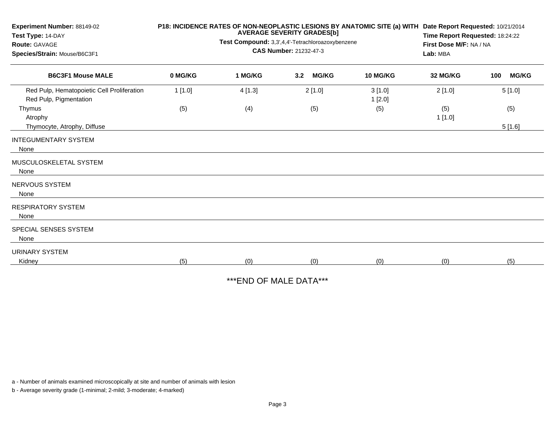| Experiment Number: 88149-02<br>Test Type: 14-DAY<br><b>Route: GAVAGE</b><br>Species/Strain: Mouse/B6C3F1 |         | <b>AVERAGE SEVERITY GRADES[b]</b><br>Test Compound: 3,3',4,4'-Tetrachloroazoxybenzene<br><b>CAS Number: 21232-47-3</b> | P18: INCIDENCE RATES OF NON-NEOPLASTIC LESIONS BY ANATOMIC SITE (a) WITH Date Report Requested: 10/21/2014<br>Time Report Requested: 18:24:22<br>First Dose M/F: NA / NA<br>Lab: MBA |                  |               |                     |
|----------------------------------------------------------------------------------------------------------|---------|------------------------------------------------------------------------------------------------------------------------|--------------------------------------------------------------------------------------------------------------------------------------------------------------------------------------|------------------|---------------|---------------------|
| <b>B6C3F1 Mouse MALE</b>                                                                                 | 0 MG/KG | 1 MG/KG                                                                                                                | 3.2<br><b>MG/KG</b>                                                                                                                                                                  | 10 MG/KG         | 32 MG/KG      | <b>MG/KG</b><br>100 |
| Red Pulp, Hematopoietic Cell Proliferation<br>Red Pulp, Pigmentation                                     | 1[1.0]  | 4[1.3]                                                                                                                 | 2[1.0]                                                                                                                                                                               | 3[1.0]<br>1[2.0] | 2[1.0]        | 5[1.0]              |
| Thymus<br>Atrophy                                                                                        | (5)     | (4)                                                                                                                    | (5)                                                                                                                                                                                  | (5)              | (5)<br>1[1.0] | (5)                 |
| Thymocyte, Atrophy, Diffuse<br><b>INTEGUMENTARY SYSTEM</b><br>None                                       |         |                                                                                                                        |                                                                                                                                                                                      |                  |               | 5[1.6]              |
| MUSCULOSKELETAL SYSTEM<br>None                                                                           |         |                                                                                                                        |                                                                                                                                                                                      |                  |               |                     |
| NERVOUS SYSTEM<br>None                                                                                   |         |                                                                                                                        |                                                                                                                                                                                      |                  |               |                     |
| <b>RESPIRATORY SYSTEM</b><br>None                                                                        |         |                                                                                                                        |                                                                                                                                                                                      |                  |               |                     |
| SPECIAL SENSES SYSTEM<br>None                                                                            |         |                                                                                                                        |                                                                                                                                                                                      |                  |               |                     |
| <b>URINARY SYSTEM</b><br>Kidney                                                                          | (5)     | (0)                                                                                                                    | (0)                                                                                                                                                                                  | (0)              | (0)           | (5)                 |

\*\*\*END OF MALE DATA\*\*\*

a - Number of animals examined microscopically at site and number of animals with lesion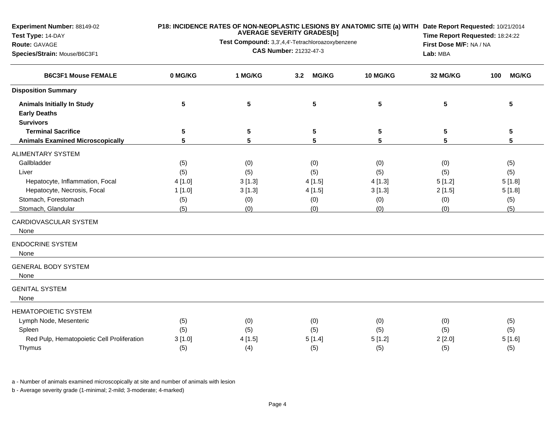**Experiment Number:** 88149-02

# **Test Type:** 14-DAY

### **Route:** GAVAGE

**Species/Strain:** Mouse/B6C3F1

### **P18: INCIDENCE RATES OF NON-NEOPLASTIC LESIONS BY ANATOMIC SITE (a) WITH AVERAGE SEVERITY GRADES[b] Date Report Requested:** 10/21/2014

**Test Compound:** 3,3',4,4'-Tetrachloroazoxybenzene**CAS Number:** 21232-47-3

**Time Report Requested:** 18:24:22**First Dose M/F:** NA / NA**Lab:** MBA

| <b>B6C3F1 Mouse FEMALE</b>                               | 0 MG/KG<br>1 MG/KG<br><b>MG/KG</b><br>3.2 |        |        | <b>10 MG/KG</b> | 32 MG/KG | <b>MG/KG</b><br>100 |  |
|----------------------------------------------------------|-------------------------------------------|--------|--------|-----------------|----------|---------------------|--|
| <b>Disposition Summary</b>                               |                                           |        |        |                 |          |                     |  |
| <b>Animals Initially In Study</b><br><b>Early Deaths</b> | 5                                         | 5      | 5      | 5               | 5        | 5                   |  |
| <b>Survivors</b>                                         |                                           |        |        |                 |          |                     |  |
| <b>Terminal Sacrifice</b>                                | 5                                         | 5      | 5      | 5               | 5        | 5                   |  |
| <b>Animals Examined Microscopically</b>                  | 5                                         | 5      | 5      | 5               | 5        | $5\phantom{1}$      |  |
| <b>ALIMENTARY SYSTEM</b>                                 |                                           |        |        |                 |          |                     |  |
| Gallbladder                                              | (5)                                       | (0)    | (0)    | (0)             | (0)      | (5)                 |  |
| Liver                                                    | (5)                                       | (5)    | (5)    | (5)             | (5)      | (5)                 |  |
| Hepatocyte, Inflammation, Focal                          | 4[1.0]                                    | 3[1.3] | 4[1.5] | 4[1.3]          | 5[1.2]   | 5[1.8]              |  |
| Hepatocyte, Necrosis, Focal                              | 1[1.0]                                    | 3[1.3] | 4[1.5] | 3[1.3]          | 2[1.5]   | 5[1.8]              |  |
| Stomach, Forestomach                                     | (5)                                       | (0)    | (0)    | (0)             | (0)      | (5)                 |  |
| Stomach, Glandular                                       | (5)                                       | (0)    | (0)    | (0)             | (0)      | (5)                 |  |
| CARDIOVASCULAR SYSTEM<br>None                            |                                           |        |        |                 |          |                     |  |
| <b>ENDOCRINE SYSTEM</b><br>None                          |                                           |        |        |                 |          |                     |  |
| <b>GENERAL BODY SYSTEM</b><br>None                       |                                           |        |        |                 |          |                     |  |
| <b>GENITAL SYSTEM</b><br>None                            |                                           |        |        |                 |          |                     |  |
| <b>HEMATOPOIETIC SYSTEM</b>                              |                                           |        |        |                 |          |                     |  |
| Lymph Node, Mesenteric                                   | (5)                                       | (0)    | (0)    | (0)             | (0)      | (5)                 |  |
| Spleen                                                   | (5)                                       | (5)    | (5)    | (5)             | (5)      | (5)                 |  |
| Red Pulp, Hematopoietic Cell Proliferation               | 3[1.0]                                    | 4[1.5] | 5[1.4] | 5[1.2]          | 2[2.0]   | 5[1.6]              |  |
| Thymus                                                   | (5)                                       | (4)    | (5)    | (5)             | (5)      | (5)                 |  |

a - Number of animals examined microscopically at site and number of animals with lesion